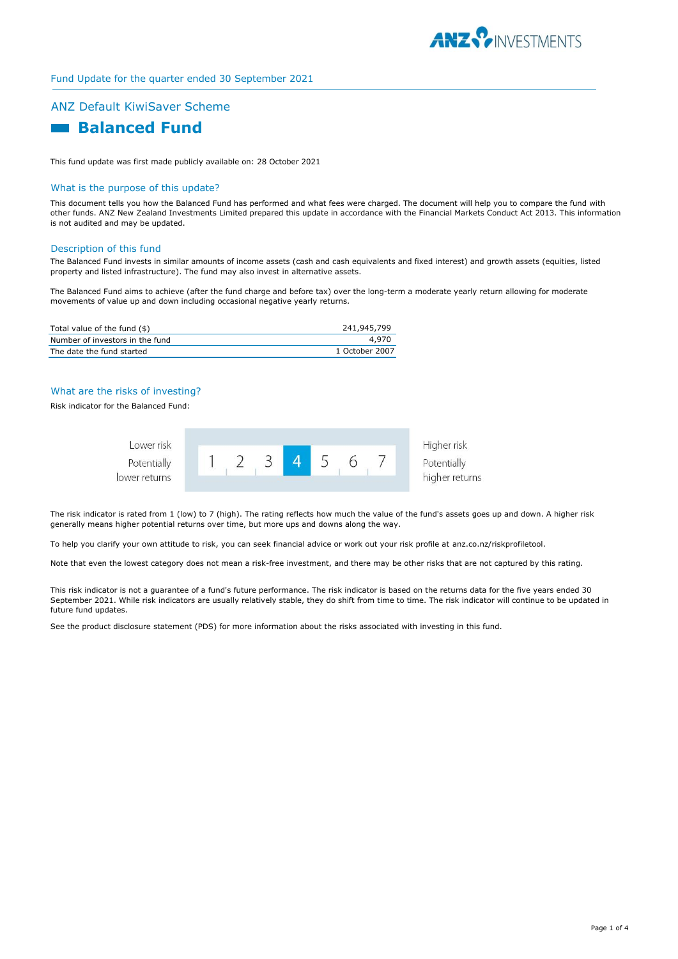

# Fund Update for the quarter ended 30 September 2021

# ANZ Default KiwiSaver Scheme

# **Ralanced Fund**

This fund update was first made publicly available on: 28 October 2021

#### What is the purpose of this update?

This document tells you how the Balanced Fund has performed and what fees were charged. The document will help you to compare the fund with other funds. ANZ New Zealand Investments Limited prepared this update in accordance with the Financial Markets Conduct Act 2013. This information is not audited and may be updated.

#### Description of this fund

The Balanced Fund invests in similar amounts of income assets (cash and cash equivalents and fixed interest) and growth assets (equities, listed property and listed infrastructure). The fund may also invest in alternative assets.

The Balanced Fund aims to achieve (after the fund charge and before tax) over the long-term a moderate yearly return allowing for moderate movements of value up and down including occasional negative yearly returns.

| Total value of the fund (\$)    | 241,945,799    |
|---------------------------------|----------------|
| Number of investors in the fund | 4.970          |
| The date the fund started       | 1 October 2007 |

### What are the risks of investing?

Risk indicator for the Balanced Fund:



The risk indicator is rated from 1 (low) to 7 (high). The rating reflects how much the value of the fund's assets goes up and down. A higher risk generally means higher potential returns over time, but more ups and downs along the way.

To help you clarify your own attitude to risk, you can seek financial advice or work out your risk profile at anz.co.nz/riskprofiletool.

Note that even the lowest category does not mean a risk-free investment, and there may be other risks that are not captured by this rating.

This risk indicator is not a guarantee of a fund's future performance. The risk indicator is based on the returns data for the five years ended 30 September 2021. While risk indicators are usually relatively stable, they do shift from time to time. The risk indicator will continue to be updated in future fund updates.

See the product disclosure statement (PDS) for more information about the risks associated with investing in this fund.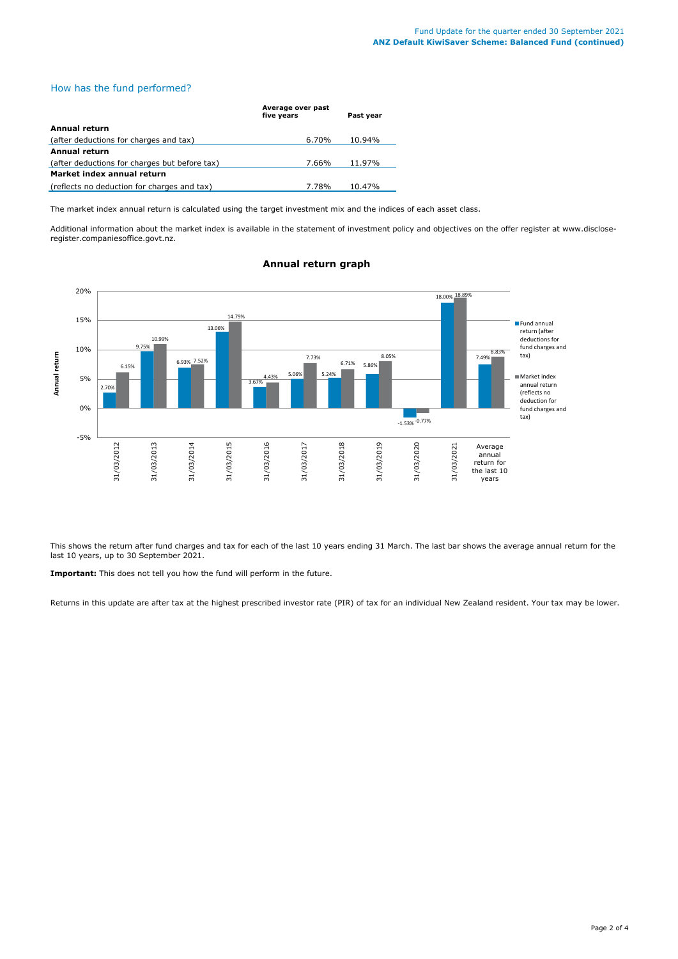# How has the fund performed?

|                                               | Average over past<br>five years | Past year |
|-----------------------------------------------|---------------------------------|-----------|
| Annual return                                 |                                 |           |
| (after deductions for charges and tax)        | 6.70%                           | 10.94%    |
| <b>Annual return</b>                          |                                 |           |
| (after deductions for charges but before tax) | 7.66%                           | 11.97%    |
| Market index annual return                    |                                 |           |
| (reflects no deduction for charges and tax)   | 7.78%                           | 10.47%    |

The market index annual return is calculated using the target investment mix and the indices of each asset class.

Additional information about the market index is available in the statement of investment policy and objectives on the offer register at www.discloseregister.companiesoffice.govt.nz.



# **Annual return graph**

This shows the return after fund charges and tax for each of the last 10 years ending 31 March. The last bar shows the average annual return for the last 10 years, up to 30 September 2021.

**Important:** This does not tell you how the fund will perform in the future.

Returns in this update are after tax at the highest prescribed investor rate (PIR) of tax for an individual New Zealand resident. Your tax may be lower.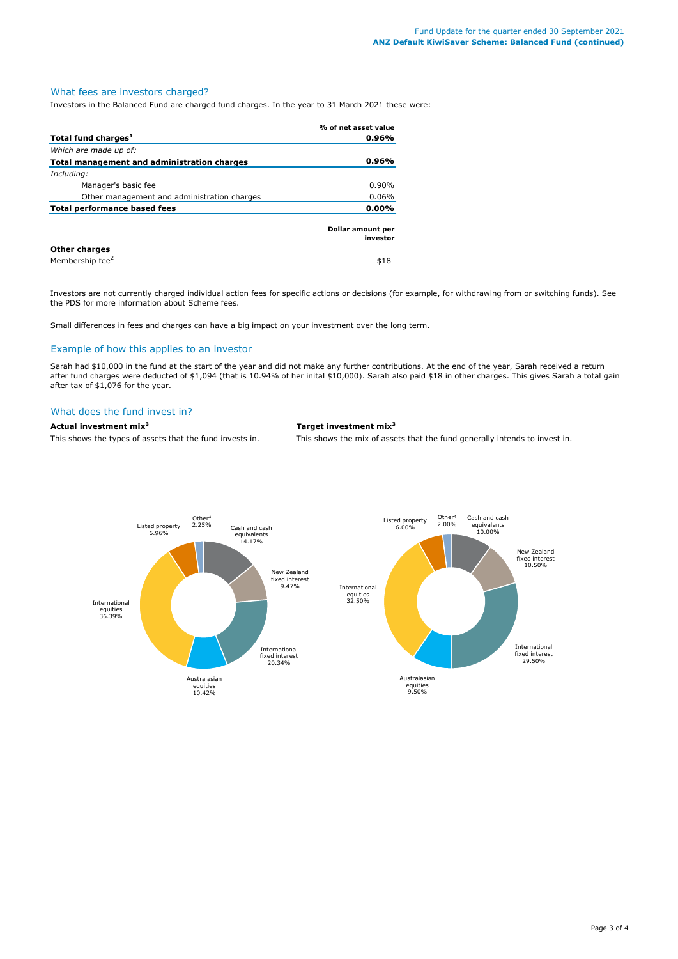# What fees are investors charged?

Investors in the Balanced Fund are charged fund charges. In the year to 31 March 2021 these were:

|                                                    | % of net asset value          |
|----------------------------------------------------|-------------------------------|
| Total fund charges <sup>1</sup>                    | 0.96%                         |
| Which are made up of:                              |                               |
| <b>Total management and administration charges</b> | 0.96%                         |
| Including:                                         |                               |
| Manager's basic fee                                | $0.90\%$                      |
| Other management and administration charges        | $0.06\%$                      |
| 0.00%<br>Total performance based fees              |                               |
|                                                    | Dollar amount per<br>investor |
| <b>Other charges</b>                               |                               |
| Membership fee <sup>2</sup>                        | \$18                          |

Investors are not currently charged individual action fees for specific actions or decisions (for example, for withdrawing from or switching funds). See the PDS for more information about Scheme fees.

Small differences in fees and charges can have a big impact on your investment over the long term.

### Example of how this applies to an investor

Sarah had \$10,000 in the fund at the start of the year and did not make any further contributions. At the end of the year, Sarah received a return after fund charges were deducted of \$1,094 (that is 10.94% of her inital \$10,000). Sarah also paid \$18 in other charges. This gives Sarah a total gain after tax of \$1,076 for the year.

#### What does the fund invest in?

**Actual investment mix<sup>3</sup> Target investment mix<sup>3</sup>**

This shows the types of assets that the fund invests in. This shows the mix of assets that the fund generally intends to invest in.